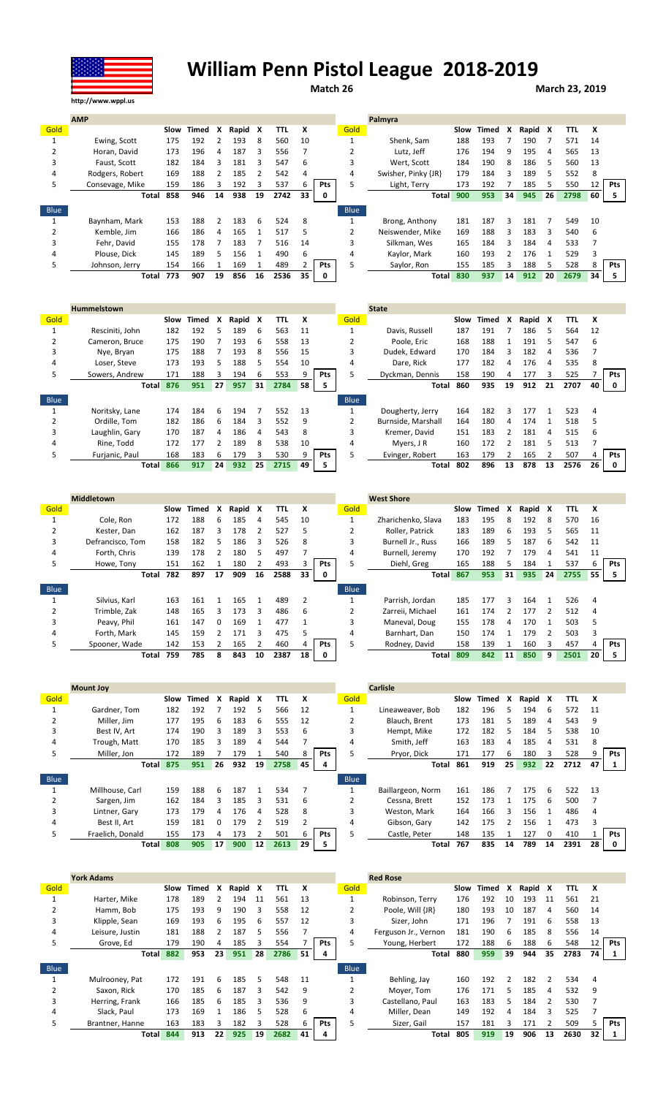

## William Penn Pistol League 2018-2019

Match 26 March 23, 2019

|             | <b>AMP</b>      |      |       |    |       |    |      |    |            |      | Palmyra             |     |            |    |       |    |      |    |            |
|-------------|-----------------|------|-------|----|-------|----|------|----|------------|------|---------------------|-----|------------|----|-------|----|------|----|------------|
| Gold        |                 | Slow | Timed | x  | Rapid | X  | TTL  | x  |            | Gold |                     |     | Slow Timed | x  | Rapid | X  | TTL  | x  |            |
|             | Ewing, Scott    | 175  | 192   |    | 193   | 8  | 560  | 10 |            |      | Shenk. Sam          | 188 | 193        |    | 190   |    | 571  | 14 |            |
|             | Horan, David    | 173  | 196   | 4  | 187   | 3  | 556  |    |            |      | Lutz. Jeff          | 176 | 194        | 9  | 195   | 4  | 565  | 13 |            |
|             | Faust, Scott    | 182  | 184   |    | 181   | ς  | 547  | 6  |            | 3    | Wert, Scott         | 184 | 190        | 8  | 186   | 5  | 560  | 13 |            |
| 4           | Rodgers, Robert | 169  | 188   |    | 185   |    | 542  | 4  |            | 4    | Swisher, Pinky {JR} | 179 | 184        |    | 189   | 5  | 552  | 8  |            |
| 5           | Consevage, Mike | 159  | 186   |    | 192   | 3  | 537  | h  | <b>Pts</b> | 5    | Light, Terry        | 173 | 192        |    | 185   |    | 550  | 12 | <b>Pts</b> |
|             | Total           | 858  | 946   | 14 | 938   | 19 | 2742 | 33 | 0          |      | <b>Total</b>        | 900 | 953        | 34 | 945   | 26 | 2798 | 60 |            |
| <b>Blue</b> |                 |      |       |    |       |    |      |    |            | Blue |                     |     |            |    |       |    |      |    |            |
|             | Baynham, Mark   | 153  | 188   |    | 183   | 6  | 524  | 8  |            |      | Brong, Anthony      | 181 | 187        |    | 181   |    | 549  | 10 |            |
|             | Kemble. Jim     | 166  | 186   | 4  | 165   |    | 517  | 5  |            |      | Neiswender, Mike    | 169 | 188        |    | 183   | Ρ  | 540  | 6  |            |
|             | Fehr. David     | 155  | 178   |    | 183   |    | 516  | 14 |            | 3    | Silkman, Wes        | 165 | 184        |    | 184   | 4  | 533  |    |            |
| 4           | Plouse. Dick    | 145  | 189   | 5  | 156   |    | 490  | 6  |            | 4    | Kaylor, Mark        | 160 | 193        |    | 176   |    | 529  |    |            |
| 5.          | Johnson, Jerry  | 154  | 166   |    | 169   |    | 489  |    | Pts        | 5    | Saylor, Ron         | 155 | 185        |    | 188   | 5  | 528  | 8  | <b>Pts</b> |
|             | Total           | 773  | 907   | 19 | 856   | 16 | 2536 | 35 |            |      | <b>Total</b>        | 830 | 937        | 14 | 912   | 20 | 2679 | 34 |            |

|      | <b>Hummelstown</b> |      |       |    |       |    |      |    |     |             | <b>State</b>       |     |            |               |       |    |      |    |            |
|------|--------------------|------|-------|----|-------|----|------|----|-----|-------------|--------------------|-----|------------|---------------|-------|----|------|----|------------|
| Gold |                    | Slow | Timed | x  | Rapid | x  | TTL  | x  |     | Gold        |                    |     | Slow Timed | x             | Rapid | X  | TTL  | x  |            |
|      | Resciniti, John    | 182  | 192   | 5. | 189   | 6  | 563  | 11 |     |             | Davis, Russell     | 187 | 191        |               | 186   | 5  | 564  | 12 |            |
|      | Cameron, Bruce     | 175  | 190   |    | 193   | 6  | 558  | 13 |     |             | Poole, Eric        | 168 | 188        |               | 191   | 5  | 547  | b  |            |
| 3    | Nye, Bryan         | 175  | 188   |    | 193   | 8  | 556  | 15 |     |             | Dudek, Edward      | 170 | 184        | Ρ             | 182   | 4  | 536  |    |            |
| 4    | Loser. Steve       | 173  | 193   | 5. | 188   | 5  | 554  | 10 |     | 4           | Dare, Rick         | 177 | 182        | 4             | 176   | 4  | 535  |    |            |
| 5.   | Sowers, Andrew     | 171  | 188   | ς  | 194   | 6  | 553  |    | Pts | 5           | Dyckman, Dennis    | 158 | 190        | 4             | 177   | 3  | 525  |    | <b>Pts</b> |
|      | <b>Total</b>       | 876  | 951   | 27 | 957   | 31 | 2784 | 58 | 5   |             | Total              | 860 | 935        | 19            | 912   | 21 | 2707 | 40 | 0          |
| Blue |                    |      |       |    |       |    |      |    |     | <b>Blue</b> |                    |     |            |               |       |    |      |    |            |
|      | Noritsky, Lane     | 174  | 184   | 6  | 194   |    | 552  | 13 |     |             | Dougherty, Jerry   | 164 | 182        | Ρ             | 177   |    | 523  | 4  |            |
|      | Ordille, Tom       | 182  | 186   | 6  | 184   | 3  | 552  | 9  |     |             | Burnside, Marshall | 164 | 180        | 4             | 174   |    | 518  |    |            |
| 3    | Laughlin, Gary     | 170  | 187   | 4  | 186   | 4  | 543  | 8  |     | 3           | Kremer, David      | 151 | 183        | $\mathcal{P}$ | 181   | 4  | 515  | 6  |            |
| 4    | Rine, Todd         | 172  | 177   |    | 189   | 8  | 538  | 10 |     | 4           | Myers, J R         | 160 | 172        |               | 181   | 5  | 513  |    |            |
| 5    | Furjanic, Paul     | 168  | 183   | 6  | 179   | 3  | 530  | 9  | Pts | 5           | Evinger, Robert    | 163 | 179        |               | 165   |    | 507  |    | <b>Pts</b> |
|      | <b>Total</b>       | 866  | 917   | 24 | 932   | 25 | 2715 | 49 |     |             | Total              | 802 | 896        | 13            | 878   | 13 | 2576 | 26 | 0          |

|      | <b>Middletown</b> |      |       |    |       |    |      |    |            |             | <b>West Shore</b>  |      |       |    |       |    |            |      |            |
|------|-------------------|------|-------|----|-------|----|------|----|------------|-------------|--------------------|------|-------|----|-------|----|------------|------|------------|
| Gold |                   | Slow | Timed | x  | Rapid | X  | TTL  | x  |            | Gold        |                    | Slow | Timed | x  | Rapid | X  | <b>TTL</b> | х    |            |
|      | Cole, Ron         | 172  | 188   | 6  | 185   | 4  | 545  | 10 |            |             | Zharichenko, Slava | 183  | 195   | Ջ  | 192   | 8  | 570        | 16   |            |
|      | Kester, Dan       | 162  | 187   | Ρ  | 178   |    | 527  |    |            |             | Roller, Patrick    | 183  | 189   | 6. | 193   | 5  | 565        | 11   |            |
| 3    | Defrancisco, Tom  | 158  | 182   | 5  | 186   | 3  | 526  | 8  |            | 3           | Burnell Jr., Russ  | 166  | 189   | 5. | 187   | 6  | 542        | 11   |            |
| 4    | Forth. Chris      | 139  | 178   |    | 180   | 5  | 497  |    |            | 4           | Burnell, Jeremy    | 170  | 192   |    | 179   | 4  | 541        | 11   |            |
| 5    | Howe, Tony        | 151  | 162   |    | 180   |    | 493  |    | <b>Pts</b> |             | Diehl, Greg        | 165  | 188   | 5  | 184   |    | 537        | b    | <b>Pts</b> |
|      | Total             | 782  | 897   | 17 | 909   | 16 | 2588 | 33 | 0          |             | <b>Total</b>       | 867  | 953   | 31 | 935   | 24 | 2755       | 55 I |            |
|      |                   |      |       |    |       |    |      |    |            |             |                    |      |       |    |       |    |            |      |            |
| Blue |                   |      |       |    |       |    |      |    |            | <b>Blue</b> |                    |      |       |    |       |    |            |      |            |
|      | Silvius, Karl     | 163  | 161   |    | 165   |    | 489  | 2  |            |             | Parrish, Jordan    | 185  | 177   | ર  | 164   |    | 526        | 4    |            |
|      | Trimble, Zak      | 148  | 165   | Ρ  | 173   | 3  | 486  | 6  |            |             | Zarreii, Michael   | 161  | 174   |    | 177   |    | 512        |      |            |
| 3    | Peavy, Phil       | 161  | 147   | 0  | 169   |    | 477  |    |            | 3           | Maneval, Doug      | 155  | 178   | 4  | 170   |    | 503        | 5    |            |
| 4    | Forth. Mark       | 145  | 159   |    | 171   | ς  | 475  |    |            | 4           | Barnhart, Dan      | 150  | 174   |    | 179   |    | 503        |      |            |
| 5.   | Spooner, Wade     | 142  | 153   |    | 165   |    | 460  |    | Pts        | 5           | Rodney, David      | 158  | 139   |    | 160   | ς  | 457        | 4    | Pts        |

|      | <b>Mount Joy</b> |      |       |    |       |    |      |    |     |                | <b>Carlisle</b>   |      |       |    |         |    |      |    |            |
|------|------------------|------|-------|----|-------|----|------|----|-----|----------------|-------------------|------|-------|----|---------|----|------|----|------------|
| Gold |                  | Slow | Timed | x  | Rapid | X  | TTL  | x  |     | Gold           |                   | Slow | Timed | X  | Rapid X |    | TTL  | x  |            |
|      | Gardner. Tom     | 182  | 192   |    | 192   | 5  | 566  | 12 |     |                | Lineaweaver. Bob  | 182  | 196   |    | 194     | 6  | 572  | 11 |            |
|      | Miller, Jim      | 177  | 195   | 6  | 183   | 6  | 555  | 12 |     |                | Blauch, Brent     | 173  | 181   |    | 189     | 4  | 543  | 9  |            |
| 3    | Best IV. Art     | 174  | 190   | ς  | 189   | 3  | 553  | 6  |     | 3              | Hempt, Mike       | 172  | 182   | 5. | 184     | 5  | 538  | 10 |            |
| 4    | Trough, Matt     | 170  | 185   |    | 189   | 4  | 544  |    |     | 4              | Smith. Jeff       | 163  | 183   | 4  | 185     | 4  | 531  | 8  |            |
| 5    | Miller, Jon      | 172  | 189   |    | 179   |    | 540  |    | Pts |                | Pryor, Dick       | 171  | 177   | h  | 180     | 3  | 528  | 9  | <b>Pts</b> |
|      | <b>Total</b>     | 875  | 951   | 26 | 932   | 19 | 2758 | 45 | 4   |                | Total             | 861  | 919   | 25 | 932     | 22 | 2712 | 47 |            |
|      |                  |      |       |    |       |    |      |    |     |                |                   |      |       |    |         |    |      |    |            |
| Blue |                  |      |       |    |       |    |      |    |     | <b>Blue</b>    |                   |      |       |    |         |    |      |    |            |
|      | Millhouse, Carl  | 159  | 188   | 6  | 187   |    | 534  |    |     |                | Baillargeon, Norm | 161  | 186   |    | 175     | -6 | 522  | 13 |            |
|      | Sargen, Jim      | 162  | 184   | 3  | 185   | 3  | 531  | 6  |     | $\overline{2}$ | Cessna, Brett     | 152  | 173   |    | 175     | -6 | 500  |    |            |
| 3    | Lintner, Gary    | 173  | 179   | 4  | 176   | 4  | 528  | 8  |     | 3              | Weston, Mark      | 164  | 166   | 3  | 156     |    | 486  | 4  |            |
| 4    | Best II. Art     | 159  | 181   |    | 179   |    | 519  |    |     | 4              | Gibson, Gary      | 142  | 175   |    | 156     |    | 473  |    |            |
| 5    | Fraelich, Donald | 155  | 173   | 4  | 173   |    | 501  |    | Pts |                | Castle, Peter     | 148  | 135   |    | 127     | 0  | 410  |    | <b>Pts</b> |

|      | <b>York Adams</b> |      |       |    |         |    |      |    |     |             | <b>Red Rose</b>      |      |       |    |         |    |      |    |            |
|------|-------------------|------|-------|----|---------|----|------|----|-----|-------------|----------------------|------|-------|----|---------|----|------|----|------------|
| Gold |                   | Slow | Timed | x  | Rapid X |    | TTL  | X  |     | Gold        |                      | Slow | Timed | X  | Rapid X |    | TΤL  | x  |            |
|      | Harter, Mike      | 178  | 189   |    | 194     | 11 | 561  | 13 |     |             | Robinson, Terry      | 176  | 192   | 10 | 193     | 11 | 561  | 21 |            |
| 2    | Hamm, Bob         | 175  | 193   | 9  | 190     | 3  | 558  | 12 |     |             | Poole. Will {JR}     | 180  | 193   | 10 | 187     | 4  | 560  | 14 |            |
| 3    | Klipple, Sean     | 169  | 193   | 6  | 195     | 6  | 557  | 12 |     |             | Sizer. John          | 171  | 196   |    | 191     | 6  | 558  | 13 |            |
| 4    | Leisure, Justin   | 181  | 188   |    | 187     | 5  | 556  |    |     | 4           | Ferguson Jr., Vernon | 181  | 190   | b  | 185     | 8  | 556  | 14 |            |
| 5.   | Grove, Ed         | 179  | 190   | 4  | 185     | 3  | 554  |    | Pts |             | Young, Herbert       | 172  | 188   |    | 188     | 6  | 548  | 12 | Pts        |
|      | <b>Total</b>      | 882  | 953   | 23 | 951     | 28 | 2786 | 51 | 4   |             | Total                | 880  | 959   | 39 | 944     | 35 | 2783 | 74 |            |
| Blue |                   |      |       |    |         |    |      |    |     | <b>Blue</b> |                      |      |       |    |         |    |      |    |            |
|      | Mulrooney, Pat    | 172  | 191   | 6  | 185     | 5  | 548  | 11 |     |             | Behling, Jay         | 160  | 192   |    | 182     |    | 534  | 4  |            |
|      | Saxon, Rick       | 170  | 185   | 6  | 187     | 3  | 542  | 9  |     |             | Moyer, Tom           | 176  | 171   | 5. | 185     | 4  | 532  | 9  |            |
| 3    | Herring, Frank    | 166  | 185   | 6  | 185     | 3  | 536  | 9  |     | 3           | Castellano, Paul     | 163  | 183   |    | 184     |    | 530  |    |            |
| 4    | Slack, Paul       | 173  | 169   |    | 186     | 5  | 528  | 6  |     | 4           | Miller, Dean         | 149  | 192   | 4  | 184     | 3  | 525  |    |            |
| 5.   | Brantner, Hanne   | 163  | 183   |    | 182     |    | 528  |    | Pts |             | Sizer, Gail          | 157  | 181   |    | 171     |    | 509  |    | <b>Pts</b> |
|      | <b>Total</b>      | 844  | 913   | 22 | 925     | 19 | 2682 | 41 | 4   |             | Total                | 805  | 919   | 19 | 906     | 13 | 2630 | 32 |            |